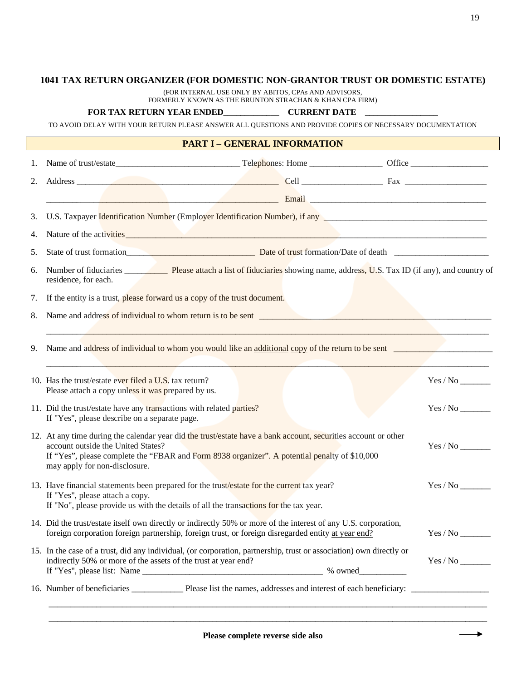## **1041 TAX RETURN ORGANIZER (FOR DOMESTIC NON-GRANTOR TRUST OR DOMESTIC ESTATE)**

(FOR INTERNAL USE ONLY BY ABITOS, CPAs AND ADVISORS, FORMERLY KNOWN AS THE BRUNTON STRACHAN & KHAN CPA FIRM)

## **FOR TAX RETURN YEAR ENDED\_\_\_\_\_\_\_\_\_\_\_\_\_ CURRENT DATE \_\_\_\_\_\_\_\_\_\_\_\_\_\_\_\_\_**

TO AVOID DELAY WITH YOUR RETURN PLEASE ANSWER ALL QUESTIONS AND PROVIDE COPIES OF NECESSARY DOCUMENTATION

## **PART I – GENERAL INFORMATION**

| 1. |                                                                                                                                                                                                                                                                                        |  |  |                                |  |  |
|----|----------------------------------------------------------------------------------------------------------------------------------------------------------------------------------------------------------------------------------------------------------------------------------------|--|--|--------------------------------|--|--|
| 2. |                                                                                                                                                                                                                                                                                        |  |  |                                |  |  |
|    | <u> Email — Email — Email — Email — Email — Email — Email — Email — Email — Email — Email — Email — Email — Email — Email — Email — Email — Email — Email — Email — Email — Email — Email — Email — Email — Email — Email — Emai</u>                                                   |  |  |                                |  |  |
| 3. | U.S. Taxpayer Identification Number (Employer Identification Number), if any <b>Latitude 2016</b> Taxpayer Identification Number                                                                                                                                                       |  |  |                                |  |  |
| 4. | Nature of the activities <b>and the activities</b> and the set of the set of the set of the activities and the set of the activities are set of the activities and the set of the set of the set of the set of the set of the set o                                                    |  |  |                                |  |  |
| 5. |                                                                                                                                                                                                                                                                                        |  |  |                                |  |  |
| 6. | residence, for each.                                                                                                                                                                                                                                                                   |  |  |                                |  |  |
| 7. | If the entity is a trust, please forward us a copy of the trust document.                                                                                                                                                                                                              |  |  |                                |  |  |
| 8. | Name and address of individual to whom return is to be sent                                                                                                                                                                                                                            |  |  |                                |  |  |
|    |                                                                                                                                                                                                                                                                                        |  |  |                                |  |  |
| 9. | Name and address of individual to whom you would like an additional copy of the return to be sent                                                                                                                                                                                      |  |  |                                |  |  |
|    | 10. Has the trust/estate ever filed a U.S. tax return?<br>Please attach a copy unless it was prepared by us.                                                                                                                                                                           |  |  |                                |  |  |
|    | 11. Did the trust/estate have any transactions with related parties?<br>If "Yes", please describe on a separate page.                                                                                                                                                                  |  |  |                                |  |  |
|    | 12. At any time during the calendar year did the trust/estate have a bank account, securities account or other<br>account outside the United States?<br>If "Yes", please complete the "FBAR and Form 8938 organizer". A potential penalty of \$10,000<br>may apply for non-disclosure. |  |  | $Yes/No$ <sub>________</sub>   |  |  |
|    | 13. Have financial statements been prepared for the trust/estate for the current tax year?<br>If "Yes", please attach a copy.<br>If "No", please provide us with the details of all the transactions for the tax year.                                                                 |  |  |                                |  |  |
|    | 14. Did the trust/estate itself own directly or indirectly 50% or more of the interest of any U.S. corporation,<br>foreign corporation foreign partnership, foreign trust, or foreign disregarded entity at year end?                                                                  |  |  | $Yes / No$ <sub>________</sub> |  |  |
|    | 15. In the case of a trust, did any individual, (or corporation, partnership, trust or association) own directly or<br>indirectly 50% or more of the assets of the trust at year end?                                                                                                  |  |  | $Yes / No$ <sub>________</sub> |  |  |
|    |                                                                                                                                                                                                                                                                                        |  |  |                                |  |  |

÷.